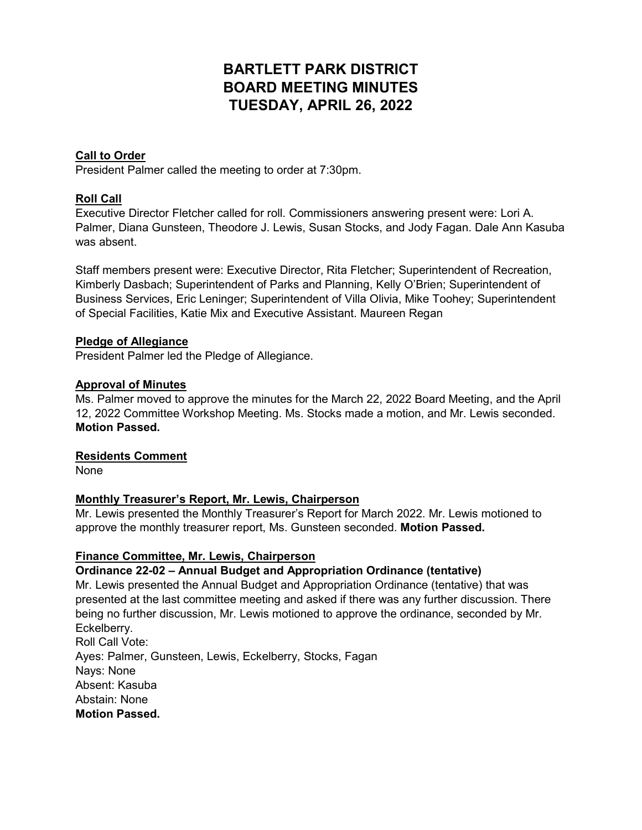# **BARTLETT PARK DISTRICT BOARD MEETING MINUTES TUESDAY, APRIL 26, 2022**

# **Call to Order**

President Palmer called the meeting to order at 7:30pm.

# **Roll Call**

Executive Director Fletcher called for roll. Commissioners answering present were: Lori A. Palmer, Diana Gunsteen, Theodore J. Lewis, Susan Stocks, and Jody Fagan. Dale Ann Kasuba was absent.

Staff members present were: Executive Director, Rita Fletcher; Superintendent of Recreation, Kimberly Dasbach; Superintendent of Parks and Planning, Kelly O'Brien; Superintendent of Business Services, Eric Leninger; Superintendent of Villa Olivia, Mike Toohey; Superintendent of Special Facilities, Katie Mix and Executive Assistant. Maureen Regan

## **Pledge of Allegiance**

President Palmer led the Pledge of Allegiance.

## **Approval of Minutes**

Ms. Palmer moved to approve the minutes for the March 22, 2022 Board Meeting, and the April 12, 2022 Committee Workshop Meeting. Ms. Stocks made a motion, and Mr. Lewis seconded. **Motion Passed.**

#### **Residents Comment**

None

## **Monthly Treasurer's Report, Mr. Lewis, Chairperson**

Mr. Lewis presented the Monthly Treasurer's Report for March 2022. Mr. Lewis motioned to approve the monthly treasurer report, Ms. Gunsteen seconded. **Motion Passed.**

## **Finance Committee, Mr. Lewis, Chairperson**

## **Ordinance 22-02 – Annual Budget and Appropriation Ordinance (tentative)**

Mr. Lewis presented the Annual Budget and Appropriation Ordinance (tentative) that was presented at the last committee meeting and asked if there was any further discussion. There being no further discussion, Mr. Lewis motioned to approve the ordinance, seconded by Mr. Eckelberry. Roll Call Vote: Ayes: Palmer, Gunsteen, Lewis, Eckelberry, Stocks, Fagan Nays: None Absent: Kasuba Abstain: None **Motion Passed.**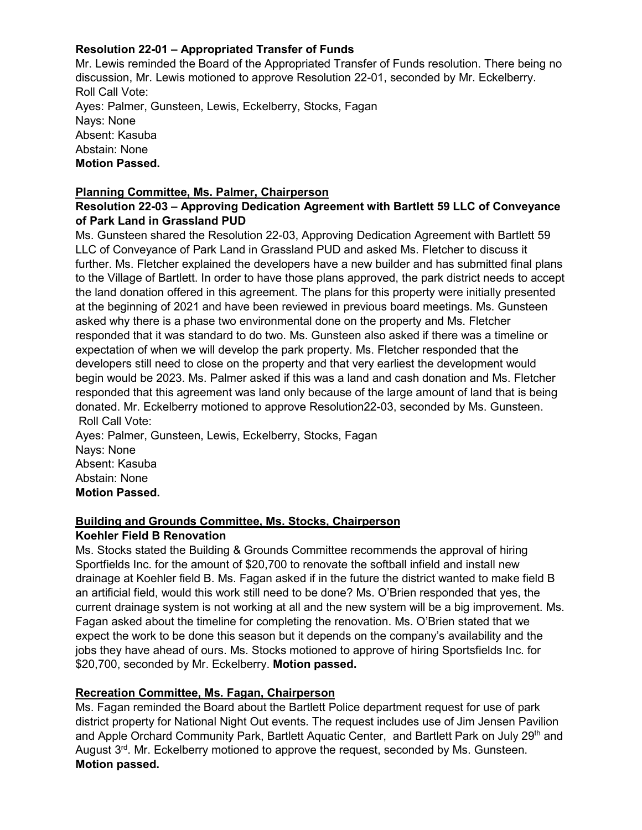# **Resolution 22-01 – Appropriated Transfer of Funds**

Mr. Lewis reminded the Board of the Appropriated Transfer of Funds resolution. There being no discussion, Mr. Lewis motioned to approve Resolution 22-01, seconded by Mr. Eckelberry. Roll Call Vote: Ayes: Palmer, Gunsteen, Lewis, Eckelberry, Stocks, Fagan Nays: None Absent: Kasuba Abstain: None **Motion Passed.** 

## **Planning Committee, Ms. Palmer, Chairperson**

## **Resolution 22-03 – Approving Dedication Agreement with Bartlett 59 LLC of Conveyance of Park Land in Grassland PUD**

Ms. Gunsteen shared the Resolution 22-03, Approving Dedication Agreement with Bartlett 59 LLC of Conveyance of Park Land in Grassland PUD and asked Ms. Fletcher to discuss it further. Ms. Fletcher explained the developers have a new builder and has submitted final plans to the Village of Bartlett. In order to have those plans approved, the park district needs to accept the land donation offered in this agreement. The plans for this property were initially presented at the beginning of 2021 and have been reviewed in previous board meetings. Ms. Gunsteen asked why there is a phase two environmental done on the property and Ms. Fletcher responded that it was standard to do two. Ms. Gunsteen also asked if there was a timeline or expectation of when we will develop the park property. Ms. Fletcher responded that the developers still need to close on the property and that very earliest the development would begin would be 2023. Ms. Palmer asked if this was a land and cash donation and Ms. Fletcher responded that this agreement was land only because of the large amount of land that is being donated. Mr. Eckelberry motioned to approve Resolution22-03, seconded by Ms. Gunsteen. Roll Call Vote:

Ayes: Palmer, Gunsteen, Lewis, Eckelberry, Stocks, Fagan Nays: None Absent: Kasuba Abstain: None **Motion Passed.** 

## **Building and Grounds Committee, Ms. Stocks, Chairperson Koehler Field B Renovation**

Ms. Stocks stated the Building & Grounds Committee recommends the approval of hiring Sportfields Inc. for the amount of \$20,700 to renovate the softball infield and install new drainage at Koehler field B. Ms. Fagan asked if in the future the district wanted to make field B an artificial field, would this work still need to be done? Ms. O'Brien responded that yes, the current drainage system is not working at all and the new system will be a big improvement. Ms. Fagan asked about the timeline for completing the renovation. Ms. O'Brien stated that we expect the work to be done this season but it depends on the company's availability and the jobs they have ahead of ours. Ms. Stocks motioned to approve of hiring Sportsfields Inc. for \$20,700, seconded by Mr. Eckelberry. **Motion passed.**

## **Recreation Committee, Ms. Fagan, Chairperson**

Ms. Fagan reminded the Board about the Bartlett Police department request for use of park district property for National Night Out events. The request includes use of Jim Jensen Pavilion and Apple Orchard Community Park, Bartlett Aquatic Center, and Bartlett Park on July 29<sup>th</sup> and August  $3<sup>rd</sup>$ . Mr. Eckelberry motioned to approve the request, seconded by Ms. Gunsteen. **Motion passed.**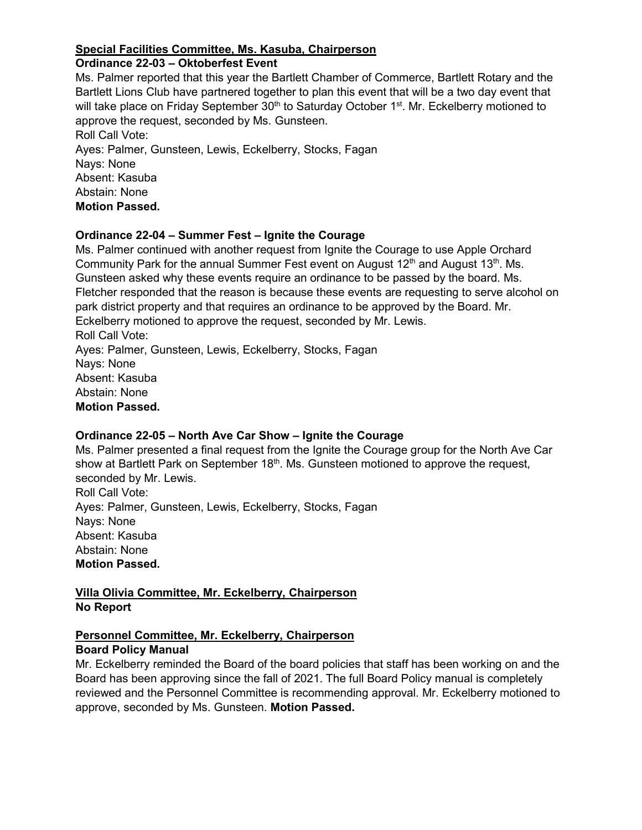# **Special Facilities Committee, Ms. Kasuba, Chairperson**

# **Ordinance 22-03 – Oktoberfest Event**

Ms. Palmer reported that this year the Bartlett Chamber of Commerce, Bartlett Rotary and the Bartlett Lions Club have partnered together to plan this event that will be a two day event that will take place on Friday September 30<sup>th</sup> to Saturday October 1<sup>st</sup>. Mr. Eckelberry motioned to approve the request, seconded by Ms. Gunsteen. Roll Call Vote:

Ayes: Palmer, Gunsteen, Lewis, Eckelberry, Stocks, Fagan Nays: None Absent: Kasuba Abstain: None **Motion Passed.** 

## **Ordinance 22-04 – Summer Fest – Ignite the Courage**

Ms. Palmer continued with another request from Ignite the Courage to use Apple Orchard Community Park for the annual Summer Fest event on August  $12<sup>th</sup>$  and August  $13<sup>th</sup>$ . Ms. Gunsteen asked why these events require an ordinance to be passed by the board. Ms. Fletcher responded that the reason is because these events are requesting to serve alcohol on park district property and that requires an ordinance to be approved by the Board. Mr. Eckelberry motioned to approve the request, seconded by Mr. Lewis. Roll Call Vote: Ayes: Palmer, Gunsteen, Lewis, Eckelberry, Stocks, Fagan Nays: None Absent: Kasuba Abstain: None **Motion Passed.** 

# **Ordinance 22-05 – North Ave Car Show – Ignite the Courage**

Ms. Palmer presented a final request from the Ignite the Courage group for the North Ave Car show at Bartlett Park on September  $18<sup>th</sup>$ . Ms. Gunsteen motioned to approve the request, seconded by Mr. Lewis. Roll Call Vote: Ayes: Palmer, Gunsteen, Lewis, Eckelberry, Stocks, Fagan Nays: None Absent: Kasuba Abstain: None **Motion Passed.** 

# **Villa Olivia Committee, Mr. Eckelberry, Chairperson No Report**

# **Personnel Committee, Mr. Eckelberry, Chairperson**

## **Board Policy Manual**

Mr. Eckelberry reminded the Board of the board policies that staff has been working on and the Board has been approving since the fall of 2021. The full Board Policy manual is completely reviewed and the Personnel Committee is recommending approval. Mr. Eckelberry motioned to approve, seconded by Ms. Gunsteen. **Motion Passed.**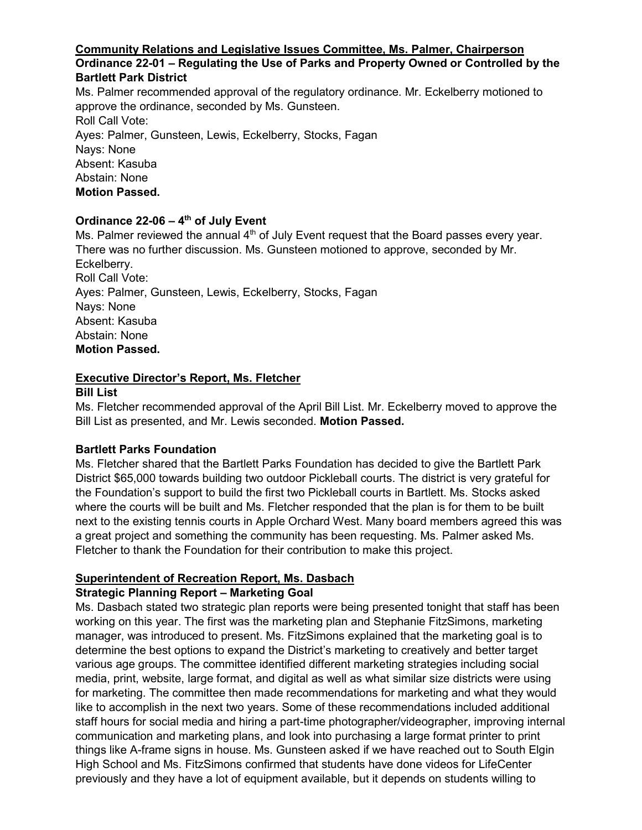# **Community Relations and Legislative Issues Committee, Ms. Palmer, Chairperson**

# **Ordinance 22-01 – Regulating the Use of Parks and Property Owned or Controlled by the Bartlett Park District**

Ms. Palmer recommended approval of the regulatory ordinance. Mr. Eckelberry motioned to approve the ordinance, seconded by Ms. Gunsteen. Roll Call Vote: Ayes: Palmer, Gunsteen, Lewis, Eckelberry, Stocks, Fagan Nays: None Absent: Kasuba Abstain: None **Motion Passed.** 

# **Ordinance 22-06 – 4th of July Event**

Ms. Palmer reviewed the annual  $4<sup>th</sup>$  of July Event request that the Board passes every year. There was no further discussion. Ms. Gunsteen motioned to approve, seconded by Mr. Eckelberry. Roll Call Vote: Ayes: Palmer, Gunsteen, Lewis, Eckelberry, Stocks, Fagan Nays: None Absent: Kasuba Abstain: None **Motion Passed.** 

# **Executive Director's Report, Ms. Fletcher**

# **Bill List**

Ms. Fletcher recommended approval of the April Bill List. Mr. Eckelberry moved to approve the Bill List as presented, and Mr. Lewis seconded. **Motion Passed.**

## **Bartlett Parks Foundation**

Ms. Fletcher shared that the Bartlett Parks Foundation has decided to give the Bartlett Park District \$65,000 towards building two outdoor Pickleball courts. The district is very grateful for the Foundation's support to build the first two Pickleball courts in Bartlett. Ms. Stocks asked where the courts will be built and Ms. Fletcher responded that the plan is for them to be built next to the existing tennis courts in Apple Orchard West. Many board members agreed this was a great project and something the community has been requesting. Ms. Palmer asked Ms. Fletcher to thank the Foundation for their contribution to make this project.

# **Superintendent of Recreation Report, Ms. Dasbach**

# **Strategic Planning Report – Marketing Goal**

Ms. Dasbach stated two strategic plan reports were being presented tonight that staff has been working on this year. The first was the marketing plan and Stephanie FitzSimons, marketing manager, was introduced to present. Ms. FitzSimons explained that the marketing goal is to determine the best options to expand the District's marketing to creatively and better target various age groups. The committee identified different marketing strategies including social media, print, website, large format, and digital as well as what similar size districts were using for marketing. The committee then made recommendations for marketing and what they would like to accomplish in the next two years. Some of these recommendations included additional staff hours for social media and hiring a part-time photographer/videographer, improving internal communication and marketing plans, and look into purchasing a large format printer to print things like A-frame signs in house. Ms. Gunsteen asked if we have reached out to South Elgin High School and Ms. FitzSimons confirmed that students have done videos for LifeCenter previously and they have a lot of equipment available, but it depends on students willing to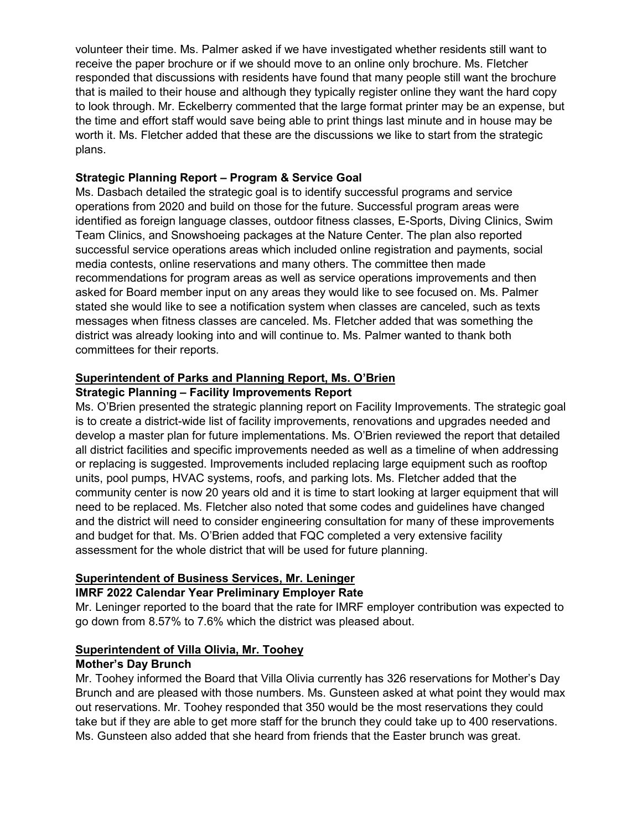volunteer their time. Ms. Palmer asked if we have investigated whether residents still want to receive the paper brochure or if we should move to an online only brochure. Ms. Fletcher responded that discussions with residents have found that many people still want the brochure that is mailed to their house and although they typically register online they want the hard copy to look through. Mr. Eckelberry commented that the large format printer may be an expense, but the time and effort staff would save being able to print things last minute and in house may be worth it. Ms. Fletcher added that these are the discussions we like to start from the strategic plans.

# **Strategic Planning Report – Program & Service Goal**

Ms. Dasbach detailed the strategic goal is to identify successful programs and service operations from 2020 and build on those for the future. Successful program areas were identified as foreign language classes, outdoor fitness classes, E-Sports, Diving Clinics, Swim Team Clinics, and Snowshoeing packages at the Nature Center. The plan also reported successful service operations areas which included online registration and payments, social media contests, online reservations and many others. The committee then made recommendations for program areas as well as service operations improvements and then asked for Board member input on any areas they would like to see focused on. Ms. Palmer stated she would like to see a notification system when classes are canceled, such as texts messages when fitness classes are canceled. Ms. Fletcher added that was something the district was already looking into and will continue to. Ms. Palmer wanted to thank both committees for their reports.

# **Superintendent of Parks and Planning Report, Ms. O'Brien**

# **Strategic Planning – Facility Improvements Report**

Ms. O'Brien presented the strategic planning report on Facility Improvements. The strategic goal is to create a district-wide list of facility improvements, renovations and upgrades needed and develop a master plan for future implementations. Ms. O'Brien reviewed the report that detailed all district facilities and specific improvements needed as well as a timeline of when addressing or replacing is suggested. Improvements included replacing large equipment such as rooftop units, pool pumps, HVAC systems, roofs, and parking lots. Ms. Fletcher added that the community center is now 20 years old and it is time to start looking at larger equipment that will need to be replaced. Ms. Fletcher also noted that some codes and guidelines have changed and the district will need to consider engineering consultation for many of these improvements and budget for that. Ms. O'Brien added that FQC completed a very extensive facility assessment for the whole district that will be used for future planning.

## **Superintendent of Business Services, Mr. Leninger**

# **IMRF 2022 Calendar Year Preliminary Employer Rate**

Mr. Leninger reported to the board that the rate for IMRF employer contribution was expected to go down from 8.57% to 7.6% which the district was pleased about.

## **Superintendent of Villa Olivia, Mr. Toohey**

## **Mother's Day Brunch**

Mr. Toohey informed the Board that Villa Olivia currently has 326 reservations for Mother's Day Brunch and are pleased with those numbers. Ms. Gunsteen asked at what point they would max out reservations. Mr. Toohey responded that 350 would be the most reservations they could take but if they are able to get more staff for the brunch they could take up to 400 reservations. Ms. Gunsteen also added that she heard from friends that the Easter brunch was great.